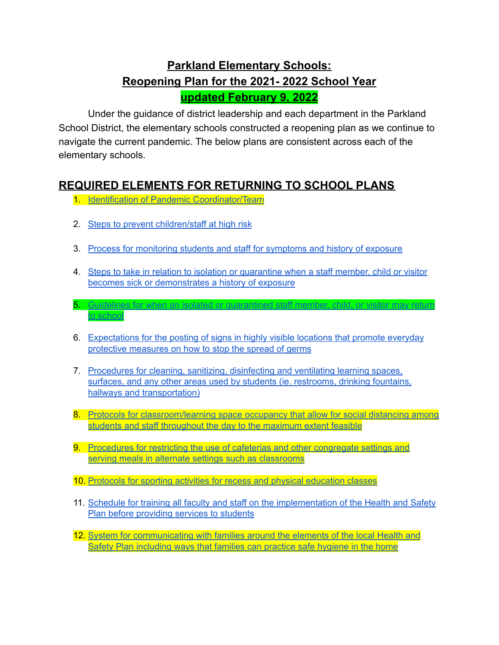# **Parkland Elementary Schools: Reopening Plan for the 2021- 2022 School Year updated February 9, 2022**

Under the guidance of district leadership and each department in the Parkland School District, the elementary schools constructed a reopening plan as we continue to navigate the current pandemic. The below plans are consistent across each of the elementary schools.

#### <span id="page-0-0"></span>**REQUIRED ELEMENTS FOR RETURNING TO SCHOOL PLANS**

- 1. Identification of Pandemic [Coordinator/Team](#page-1-0)
- 2. Steps to prevent [children/staff](#page-4-0) at high risk

to [school](#page-5-0)

- 3. Process for [monitoring](#page-4-1) students and staff for symptoms and history of exposure
- 4. Steps to take in relation to isolation or [quarantine](#page-4-2) when a staff member, child or visitor becomes sick or [demonstrates](#page-4-2) a history of exposure

5. Guidelines for when an isolated or [quarantined](#page-5-0) staff member, child, or visitor may return

- 6. [Expectations](#page-5-1) for the posting of signs in highly visible locations that promote everyday protective [measures](#page-5-1) on how to stop the spread of germs
- 7. [Procedures](#page-6-0) for cleaning, sanitizing, disinfecting and ventilating learning spaces, surfaces, and any other areas used by students (ie. [restrooms,](#page-6-0) drinking fountains, hallways and [transportation\)](#page-6-0)
- 8. Protocols for [classroom/learning](#page-7-0) space occupancy that allow for social distancing among students and staff [throughout](#page-7-0) the day to the maximum extent feasible
- 9. [Procedures](#page-8-0) for restricting the use of cafeterias and other congregate settings and serving meals in alternate settings such as [classrooms](#page-8-0)
- 10. Protocols for sporting activities for recess and physical [education](#page-9-0) classes
- 11. Schedule for training all faculty and staff on the [implementation](#page-10-0) of the Health and Safety Plan before [providing](#page-10-0) services to students
- 12. System for [communicating](#page-10-1) with families around the elements of the local Health and Safety Plan [including](#page-10-1) ways that families can practice safe hygiene in the home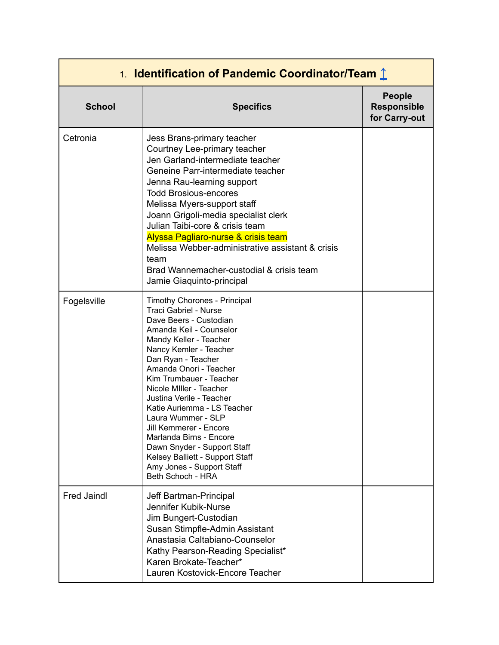<span id="page-1-0"></span>

| 1. Identification of Pandemic Coordinator/Team 1 |                                                                                                                                                                                                                                                                                                                                                                                                                                                                                                                                |                                                      |
|--------------------------------------------------|--------------------------------------------------------------------------------------------------------------------------------------------------------------------------------------------------------------------------------------------------------------------------------------------------------------------------------------------------------------------------------------------------------------------------------------------------------------------------------------------------------------------------------|------------------------------------------------------|
| <b>School</b>                                    | <b>Specifics</b>                                                                                                                                                                                                                                                                                                                                                                                                                                                                                                               | <b>People</b><br><b>Responsible</b><br>for Carry-out |
| Cetronia                                         | Jess Brans-primary teacher<br>Courtney Lee-primary teacher<br>Jen Garland-intermediate teacher<br>Geneine Parr-intermediate teacher<br>Jenna Rau-learning support<br><b>Todd Brosious-encores</b><br>Melissa Myers-support staff<br>Joann Grigoli-media specialist clerk<br>Julian Taibi-core & crisis team<br>Alyssa Pagliaro-nurse & crisis team<br>Melissa Webber-administrative assistant & crisis<br>team<br>Brad Wannemacher-custodial & crisis team<br>Jamie Giaquinto-principal                                        |                                                      |
| Fogelsville                                      | Timothy Chorones - Principal<br>Traci Gabriel - Nurse<br>Dave Beers - Custodian<br>Amanda Keil - Counselor<br>Mandy Keller - Teacher<br>Nancy Kemler - Teacher<br>Dan Ryan - Teacher<br>Amanda Onori - Teacher<br>Kim Trumbauer - Teacher<br>Nicole Miller - Teacher<br>Justina Verile - Teacher<br>Katie Auriemma - LS Teacher<br>Laura Wummer - SLP<br>Jill Kemmerer - Encore<br>Marlanda Birns - Encore<br>Dawn Snyder - Support Staff<br>Kelsey Balliett - Support Staff<br>Amy Jones - Support Staff<br>Beth Schoch - HRA |                                                      |
| <b>Fred Jaindl</b>                               | Jeff Bartman-Principal<br>Jennifer Kubik-Nurse<br>Jim Bungert-Custodian<br>Susan Stimpfle-Admin Assistant<br>Anastasia Caltabiano-Counselor<br>Kathy Pearson-Reading Specialist*<br>Karen Brokate-Teacher*<br>Lauren Kostovick-Encore Teacher                                                                                                                                                                                                                                                                                  |                                                      |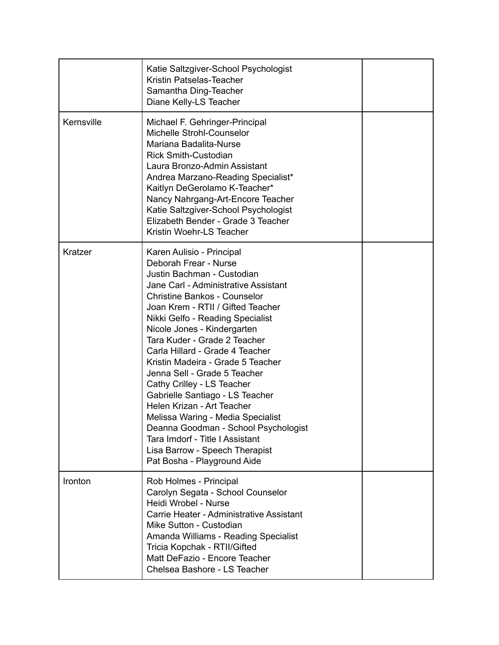|            | Katie Saltzgiver-School Psychologist<br>Kristin Patselas-Teacher<br>Samantha Ding-Teacher<br>Diane Kelly-LS Teacher                                                                                                                                                                                                                                                                                                                                                                                                                                                                                                                                                                             |  |
|------------|-------------------------------------------------------------------------------------------------------------------------------------------------------------------------------------------------------------------------------------------------------------------------------------------------------------------------------------------------------------------------------------------------------------------------------------------------------------------------------------------------------------------------------------------------------------------------------------------------------------------------------------------------------------------------------------------------|--|
| Kernsville | Michael F. Gehringer-Principal<br>Michelle Strohl-Counselor<br>Mariana Badalita-Nurse<br><b>Rick Smith-Custodian</b><br>Laura Bronzo-Admin Assistant<br>Andrea Marzano-Reading Specialist*<br>Kaitlyn DeGerolamo K-Teacher*<br>Nancy Nahrgang-Art-Encore Teacher<br>Katie Saltzgiver-School Psychologist<br>Elizabeth Bender - Grade 3 Teacher<br>Kristin Woehr-LS Teacher                                                                                                                                                                                                                                                                                                                      |  |
| Kratzer    | Karen Aulisio - Principal<br>Deborah Frear - Nurse<br>Justin Bachman - Custodian<br>Jane Carl - Administrative Assistant<br><b>Christine Bankos - Counselor</b><br>Joan Krem - RTII / Gifted Teacher<br>Nikki Gelfo - Reading Specialist<br>Nicole Jones - Kindergarten<br>Tara Kuder - Grade 2 Teacher<br>Carla Hillard - Grade 4 Teacher<br>Kristin Madeira - Grade 5 Teacher<br>Jenna Sell - Grade 5 Teacher<br>Cathy Crilley - LS Teacher<br>Gabrielle Santiago - LS Teacher<br>Helen Krizan - Art Teacher<br>Melissa Waring - Media Specialist<br>Deanna Goodman - School Psychologist<br>Tara Imdorf - Title I Assistant<br>Lisa Barrow - Speech Therapist<br>Pat Bosha - Playground Aide |  |
| Ironton    | Rob Holmes - Principal<br>Carolyn Segata - School Counselor<br>Heidi Wrobel - Nurse<br>Carrie Heater - Administrative Assistant<br>Mike Sutton - Custodian<br>Amanda Williams - Reading Specialist<br>Tricia Kopchak - RTII/Gifted<br>Matt DeFazio - Encore Teacher<br>Chelsea Bashore - LS Teacher                                                                                                                                                                                                                                                                                                                                                                                             |  |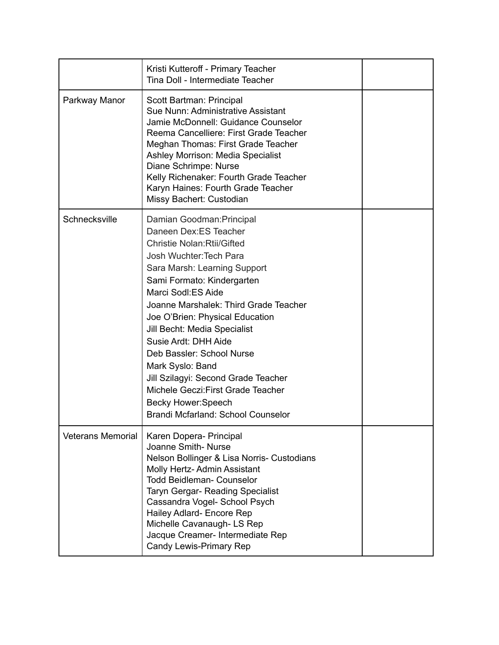|                          | Kristi Kutteroff - Primary Teacher<br>Tina Doll - Intermediate Teacher                                                                                                                                                                                                                                                                                                                                                                                                                                                                       |  |
|--------------------------|----------------------------------------------------------------------------------------------------------------------------------------------------------------------------------------------------------------------------------------------------------------------------------------------------------------------------------------------------------------------------------------------------------------------------------------------------------------------------------------------------------------------------------------------|--|
| Parkway Manor            | Scott Bartman: Principal<br>Sue Nunn: Administrative Assistant<br>Jamie McDonnell: Guidance Counselor<br>Reema Cancelliere: First Grade Teacher<br>Meghan Thomas: First Grade Teacher<br>Ashley Morrison: Media Specialist<br>Diane Schrimpe: Nurse<br>Kelly Richenaker: Fourth Grade Teacher<br>Karyn Haines: Fourth Grade Teacher<br>Missy Bachert: Custodian                                                                                                                                                                              |  |
| Schnecksville            | Damian Goodman: Principal<br>Daneen Dex:ES Teacher<br><b>Christie Nolan: Rtii/Gifted</b><br>Josh Wuchter: Tech Para<br>Sara Marsh: Learning Support<br>Sami Formato: Kindergarten<br>Marci Sodl:ES Aide<br>Joanne Marshalek: Third Grade Teacher<br>Joe O'Brien: Physical Education<br>Jill Becht: Media Specialist<br>Susie Ardt: DHH Aide<br>Deb Bassler: School Nurse<br>Mark Syslo: Band<br>Jill Szilagyi: Second Grade Teacher<br>Michele Geczi: First Grade Teacher<br><b>Becky Hower:Speech</b><br>Brandi Mcfarland: School Counselor |  |
| <b>Veterans Memorial</b> | Karen Dopera- Principal<br>Joanne Smith-Nurse<br>Nelson Bollinger & Lisa Norris- Custodians<br>Molly Hertz-Admin Assistant<br><b>Todd Beidleman- Counselor</b><br><b>Taryn Gergar- Reading Specialist</b><br>Cassandra Vogel- School Psych<br>Hailey Adlard- Encore Rep<br>Michelle Cavanaugh- LS Rep<br>Jacque Creamer- Intermediate Rep<br><b>Candy Lewis-Primary Rep</b>                                                                                                                                                                  |  |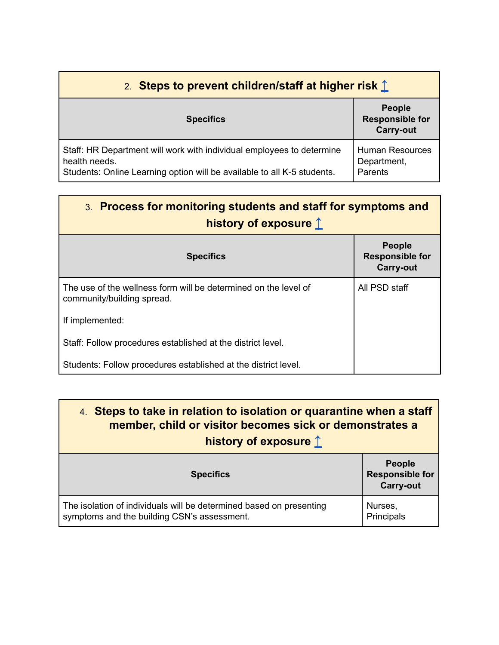<span id="page-4-0"></span>

| 2. Steps to prevent children/staff at higher risk $\hat{\mathbb{L}}$                                                                                              |                                                             |
|-------------------------------------------------------------------------------------------------------------------------------------------------------------------|-------------------------------------------------------------|
| <b>Specifics</b>                                                                                                                                                  | <b>People</b><br><b>Responsible for</b><br><b>Carry-out</b> |
| Staff: HR Department will work with individual employees to determine<br>health needs.<br>Students: Online Learning option will be available to all K-5 students. | <b>Human Resources</b><br>Department,<br>Parents            |

<span id="page-4-1"></span>

| 3. Process for monitoring students and staff for symptoms and |
|---------------------------------------------------------------|
| history of exposure 1                                         |

| <b>Specifics</b>                                                                              | <b>People</b><br><b>Responsible for</b><br><b>Carry-out</b> |
|-----------------------------------------------------------------------------------------------|-------------------------------------------------------------|
| The use of the wellness form will be determined on the level of<br>community/building spread. | All PSD staff                                               |
| If implemented:                                                                               |                                                             |
| Staff: Follow procedures established at the district level.                                   |                                                             |
| Students: Follow procedures established at the district level.                                |                                                             |

<span id="page-4-2"></span>

| 4. Steps to take in relation to isolation or quarantine when a staff<br>member, child or visitor becomes sick or demonstrates a<br>history of exposure $\hat{\mathbb{L}}$ |               |
|---------------------------------------------------------------------------------------------------------------------------------------------------------------------------|---------------|
|                                                                                                                                                                           | <b>People</b> |

| <b>Specifics</b>                                                    | <b>Responsible for</b><br><b>Carry-out</b> |
|---------------------------------------------------------------------|--------------------------------------------|
| The isolation of individuals will be determined based on presenting | Nurses,                                    |
| symptoms and the building CSN's assessment.                         | Principals                                 |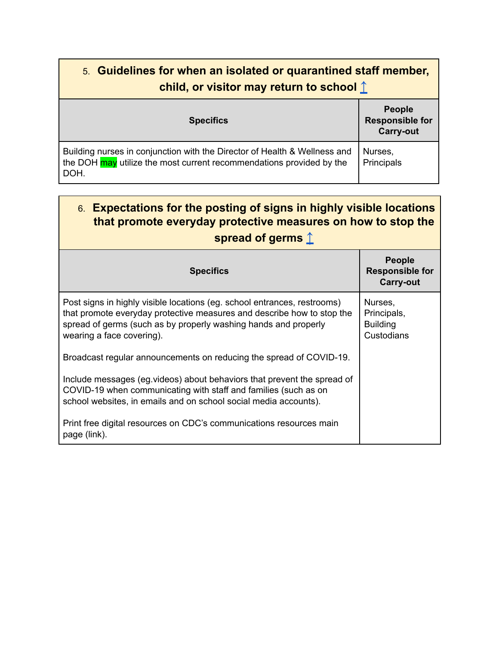<span id="page-5-0"></span>

| 5. Guidelines for when an isolated or quarantined staff member,<br>child, or visitor may return to school $\hat{\mathbb{L}}$                              |                                                             |
|-----------------------------------------------------------------------------------------------------------------------------------------------------------|-------------------------------------------------------------|
| <b>Specifics</b>                                                                                                                                          | <b>People</b><br><b>Responsible for</b><br><b>Carry-out</b> |
| Building nurses in conjunction with the Director of Health & Wellness and<br>the DOH may utilize the most current recommendations provided by the<br>DOH. | Nurses,<br>Principals                                       |

<span id="page-5-1"></span>

| 6. Expectations for the posting of signs in highly visible locations<br>that promote everyday protective measures on how to stop the<br>spread of germs 1 |                                                             |
|-----------------------------------------------------------------------------------------------------------------------------------------------------------|-------------------------------------------------------------|
| <b>Specifics</b>                                                                                                                                          | <b>People</b><br><b>Responsible for</b><br><b>Carry-out</b> |
| Post signs in highly visible locations (eg. school entrances, restrooms)                                                                                  | Nurses.                                                     |

| Post signs in highly visible locations (eg. school entrances, restrooms)<br>that promote everyday protective measures and describe how to stop the<br>spread of germs (such as by properly washing hands and properly<br>wearing a face covering). | Nurses.<br>Principals,<br><b>Building</b><br>Custodians |
|----------------------------------------------------------------------------------------------------------------------------------------------------------------------------------------------------------------------------------------------------|---------------------------------------------------------|
| Broadcast regular announcements on reducing the spread of COVID-19.                                                                                                                                                                                |                                                         |
| Include messages (eg. videos) about behaviors that prevent the spread of<br>COVID-19 when communicating with staff and families (such as on<br>school websites, in emails and on school social media accounts).                                    |                                                         |
| Print free digital resources on CDC's communications resources main<br>page (link).                                                                                                                                                                |                                                         |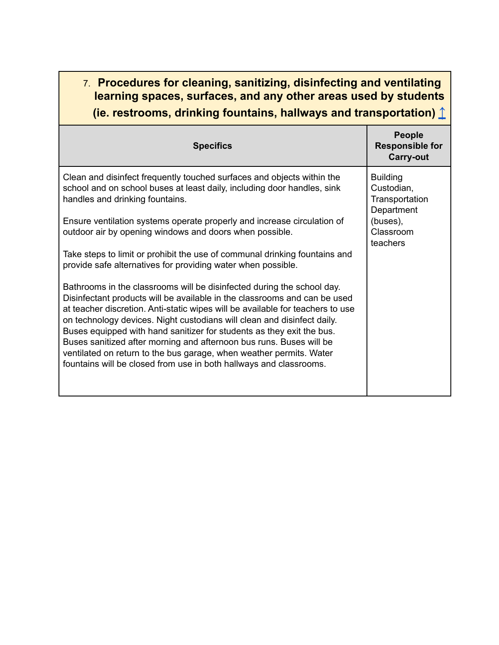## <span id="page-6-0"></span>7. **Procedures for cleaning, sanitizing, disinfecting and ventilating learning spaces, surfaces, and any other areas used by students (ie. restrooms, drinking fountains, hallways and transportation)** [↑](#page-0-0)

| <b>Specifics</b>                                                                                                                                                                                                                                                                                                                                                                                                                                                                                                                                                                                              | <b>People</b><br><b>Responsible for</b><br><b>Carry-out</b>                                        |
|---------------------------------------------------------------------------------------------------------------------------------------------------------------------------------------------------------------------------------------------------------------------------------------------------------------------------------------------------------------------------------------------------------------------------------------------------------------------------------------------------------------------------------------------------------------------------------------------------------------|----------------------------------------------------------------------------------------------------|
| Clean and disinfect frequently touched surfaces and objects within the<br>school and on school buses at least daily, including door handles, sink<br>handles and drinking fountains.                                                                                                                                                                                                                                                                                                                                                                                                                          | <b>Building</b><br>Custodian,<br>Transportation<br>Department<br>(buses),<br>Classroom<br>teachers |
| Ensure ventilation systems operate properly and increase circulation of<br>outdoor air by opening windows and doors when possible.                                                                                                                                                                                                                                                                                                                                                                                                                                                                            |                                                                                                    |
| Take steps to limit or prohibit the use of communal drinking fountains and<br>provide safe alternatives for providing water when possible.                                                                                                                                                                                                                                                                                                                                                                                                                                                                    |                                                                                                    |
| Bathrooms in the classrooms will be disinfected during the school day.<br>Disinfectant products will be available in the classrooms and can be used<br>at teacher discretion. Anti-static wipes will be available for teachers to use<br>on technology devices. Night custodians will clean and disinfect daily.<br>Buses equipped with hand sanitizer for students as they exit the bus.<br>Buses sanitized after morning and afternoon bus runs. Buses will be<br>ventilated on return to the bus garage, when weather permits. Water<br>fountains will be closed from use in both hallways and classrooms. |                                                                                                    |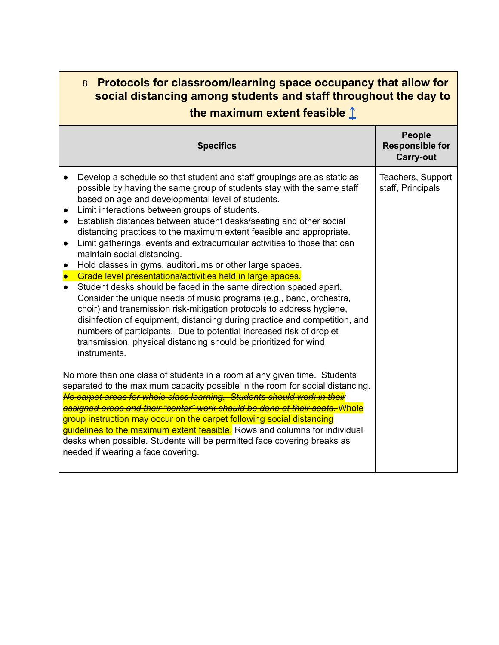#### <span id="page-7-0"></span>8. **Protocols for classroom/learning space occupancy that allow for social distancing among students and staff throughout the day to the maximum extent feasible** [↑](#page-0-0)

|                                                               | <b>Specifics</b>                                                                                                                                                                                                                                                                                                                                                                                                                                                                                                                                                                                                                                                                                                                                                                                                                                                                                                                                                                                                                                                                                           | <b>People</b><br><b>Responsible for</b><br><b>Carry-out</b> |
|---------------------------------------------------------------|------------------------------------------------------------------------------------------------------------------------------------------------------------------------------------------------------------------------------------------------------------------------------------------------------------------------------------------------------------------------------------------------------------------------------------------------------------------------------------------------------------------------------------------------------------------------------------------------------------------------------------------------------------------------------------------------------------------------------------------------------------------------------------------------------------------------------------------------------------------------------------------------------------------------------------------------------------------------------------------------------------------------------------------------------------------------------------------------------------|-------------------------------------------------------------|
| $\bullet$<br>$\bullet$<br>$\bullet$<br>$\bullet$<br>$\bullet$ | Develop a schedule so that student and staff groupings are as static as<br>possible by having the same group of students stay with the same staff<br>based on age and developmental level of students.<br>Limit interactions between groups of students.<br>Establish distances between student desks/seating and other social<br>distancing practices to the maximum extent feasible and appropriate.<br>Limit gatherings, events and extracurricular activities to those that can<br>maintain social distancing.<br>Hold classes in gyms, auditoriums or other large spaces.<br>Grade level presentations/activities held in large spaces.<br>Student desks should be faced in the same direction spaced apart.<br>Consider the unique needs of music programs (e.g., band, orchestra,<br>choir) and transmission risk-mitigation protocols to address hygiene,<br>disinfection of equipment, distancing during practice and competition, and<br>numbers of participants. Due to potential increased risk of droplet<br>transmission, physical distancing should be prioritized for wind<br>instruments. | Teachers, Support<br>staff, Principals                      |
|                                                               | No more than one class of students in a room at any given time. Students<br>separated to the maximum capacity possible in the room for social distancing.<br>No carpet areas for whole class learning. Students should work in their<br>assigned areas and their "center" work should be done at their seats. Whole<br>group instruction may occur on the carpet following social distancing<br>guidelines to the maximum extent feasible. Rows and columns for individual<br>desks when possible. Students will be permitted face covering breaks as<br>needed if wearing a face covering.                                                                                                                                                                                                                                                                                                                                                                                                                                                                                                                |                                                             |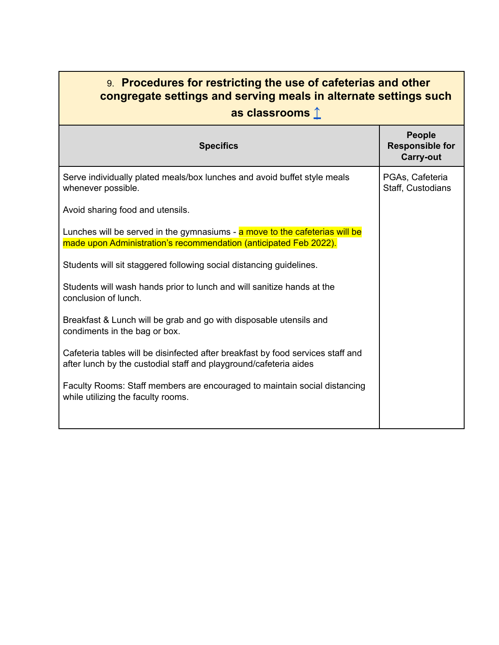## <span id="page-8-0"></span>9. **Procedures for restricting the use of cafeterias and other congregate settings and serving meals in alternate settings such as classrooms** [↑](#page-0-0)

| <b>Specifics</b>                                                                                                                                     | <b>People</b><br><b>Responsible for</b><br><b>Carry-out</b> |
|------------------------------------------------------------------------------------------------------------------------------------------------------|-------------------------------------------------------------|
| Serve individually plated meals/box lunches and avoid buffet style meals<br>whenever possible.                                                       | PGAs, Cafeteria<br>Staff, Custodians                        |
| Avoid sharing food and utensils.                                                                                                                     |                                                             |
| Lunches will be served in the gymnasiums - a move to the cafeterias will be<br>made upon Administration's recommendation (anticipated Feb 2022).     |                                                             |
| Students will sit staggered following social distancing guidelines.                                                                                  |                                                             |
| Students will wash hands prior to lunch and will sanitize hands at the<br>conclusion of lunch.                                                       |                                                             |
| Breakfast & Lunch will be grab and go with disposable utensils and<br>condiments in the bag or box.                                                  |                                                             |
| Cafeteria tables will be disinfected after breakfast by food services staff and<br>after lunch by the custodial staff and playground/cafeteria aides |                                                             |
| Faculty Rooms: Staff members are encouraged to maintain social distancing<br>while utilizing the faculty rooms.                                      |                                                             |
|                                                                                                                                                      |                                                             |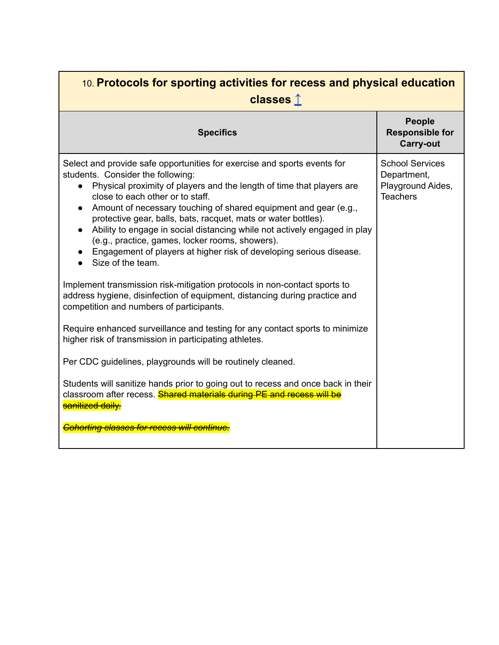<span id="page-9-0"></span>

| 10. Protocols for sporting activities for recess and physical education<br>classes $\hat{I}$                                                                                                                                                                                                                                                                                                                                                                                                                                                                                                                                                                                                                                                                                                                                                                                                                                                  |                                                                               |
|-----------------------------------------------------------------------------------------------------------------------------------------------------------------------------------------------------------------------------------------------------------------------------------------------------------------------------------------------------------------------------------------------------------------------------------------------------------------------------------------------------------------------------------------------------------------------------------------------------------------------------------------------------------------------------------------------------------------------------------------------------------------------------------------------------------------------------------------------------------------------------------------------------------------------------------------------|-------------------------------------------------------------------------------|
| <b>Specifics</b>                                                                                                                                                                                                                                                                                                                                                                                                                                                                                                                                                                                                                                                                                                                                                                                                                                                                                                                              | <b>People</b><br><b>Responsible for</b><br><b>Carry-out</b>                   |
| Select and provide safe opportunities for exercise and sports events for<br>students. Consider the following:<br>Physical proximity of players and the length of time that players are<br>close to each other or to staff.<br>Amount of necessary touching of shared equipment and gear (e.g.,<br>protective gear, balls, bats, racquet, mats or water bottles).<br>Ability to engage in social distancing while not actively engaged in play<br>(e.g., practice, games, locker rooms, showers).<br>Engagement of players at higher risk of developing serious disease.<br>Size of the team.<br>Implement transmission risk-mitigation protocols in non-contact sports to<br>address hygiene, disinfection of equipment, distancing during practice and<br>competition and numbers of participants.<br>Require enhanced surveillance and testing for any contact sports to minimize<br>higher risk of transmission in participating athletes. | <b>School Services</b><br>Department,<br>Playground Aides,<br><b>Teachers</b> |
| Per CDC guidelines, playgrounds will be routinely cleaned.                                                                                                                                                                                                                                                                                                                                                                                                                                                                                                                                                                                                                                                                                                                                                                                                                                                                                    |                                                                               |
| Students will sanitize hands prior to going out to recess and once back in their<br>classroom after recess. Shared materials during PE and recess will be<br>sanitized daily.                                                                                                                                                                                                                                                                                                                                                                                                                                                                                                                                                                                                                                                                                                                                                                 |                                                                               |
| <b>Cohorting classes for recess will continue.</b>                                                                                                                                                                                                                                                                                                                                                                                                                                                                                                                                                                                                                                                                                                                                                                                                                                                                                            |                                                                               |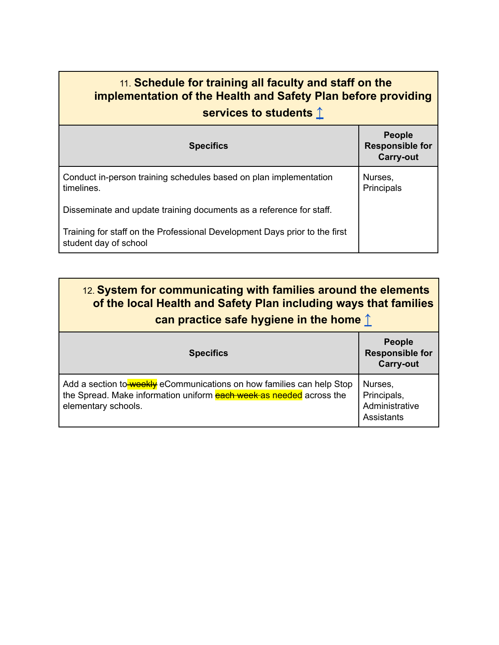# <span id="page-10-0"></span>11. **Schedule for training all faculty and staff on the implementation of the Health and Safety Plan before providing services to students** [↑](#page-0-0)

| <b>Specifics</b>                                                                                    | <b>People</b><br><b>Responsible for</b><br><b>Carry-out</b> |
|-----------------------------------------------------------------------------------------------------|-------------------------------------------------------------|
| Conduct in-person training schedules based on plan implementation<br>timelines.                     | Nurses,<br>Principals                                       |
| Disseminate and update training documents as a reference for staff.                                 |                                                             |
| Training for staff on the Professional Development Days prior to the first<br>student day of school |                                                             |

<span id="page-10-1"></span>

| 12. System for communicating with families around the elements<br>of the local Health and Safety Plan including ways that families<br>can practice safe hygiene in the home $\uparrow$ |                                                             |
|----------------------------------------------------------------------------------------------------------------------------------------------------------------------------------------|-------------------------------------------------------------|
| <b>Specifics</b>                                                                                                                                                                       | <b>People</b><br><b>Responsible for</b><br><b>Carry-out</b> |
| Add a section to weekly eCommunications on how families can help Stop<br>the Spread. Make information uniform each week as needed across the<br>elementary schools.                    | Nurses,<br>Principals,<br>Administrative<br>Assistants      |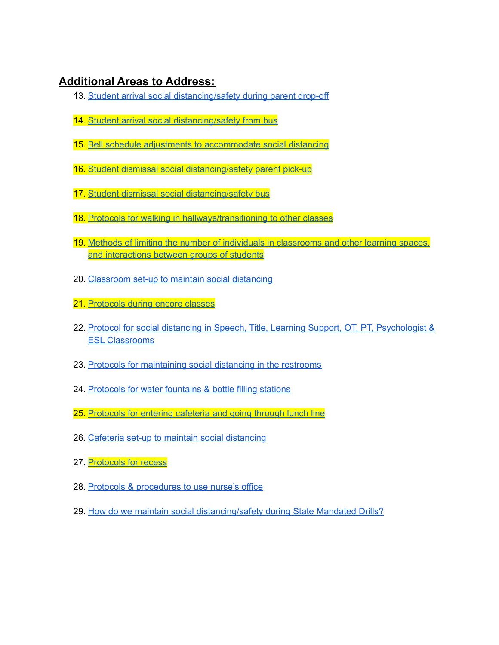#### <span id="page-11-0"></span>**Additional Areas to Address:**

- 13. Student arrival social [distancing/safety](#page-12-0) during parent drop-off
- 14. Student arrival social [distancing/safety](#page-13-0) from bus
- 15. Bell schedule adjustments to [accommodate](#page-14-0) social distancing
- 16. Student dismissal social [distancing/safety](#page-15-0) parent pick-up
- 17. Student dismissal social [distancing/safety](#page-16-0) bus
- 18. Protocols for walking in [hallways/transitioning](#page-17-0) to other classes
- 19. Methods of limiting the number of individuals in [classrooms](#page-18-0) and other learning spaces, and [interactions](#page-18-0) between groups of students
- 20. [Classroom](#page-18-1) set-up to maintain social distancing
- 21. [Protocols](#page-18-2) during encore classes
- 22. Protocol for social distancing in Speech, Title, Learning Support, OT, PT, [Psychologist](#page-19-0) & ESL [Classrooms](#page-19-0)
- 23. Protocols for [maintaining](#page-19-1) social distancing in the restrooms
- 24. [Protocols](#page-19-2) for water fountains & bottle filling stations
- 25. [Protocols](#page-20-0) for entering cafeteria and going through lunch line
- 26. Cafeteria set-up to maintain social [distancing](#page-20-1)
- 27. [Protocols](#page-20-2) for recess
- 28. Protocols & [procedures](#page-21-0) to use nurse's office
- 29. How do we maintain social [distancing/safety](#page-21-1) during State Mandated Drills?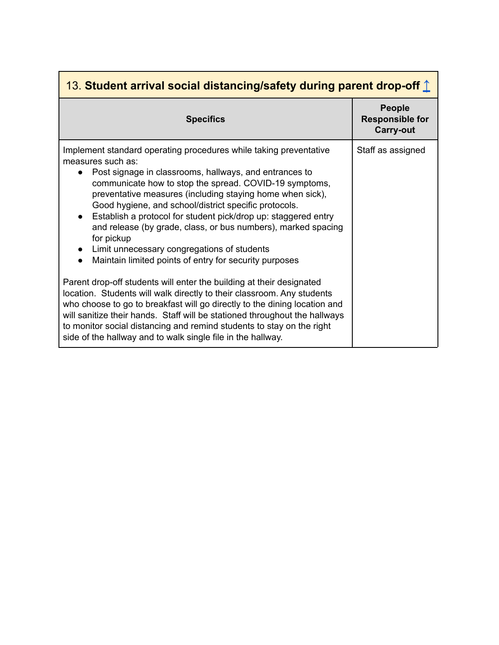<span id="page-12-0"></span>

| 13. Student arrival social distancing/safety during parent drop-off $\hat{\mathbb{I}}$                                                                                                                                                                                                                                                                                                                                                                                                                                                                                                                                            |                                                      |
|-----------------------------------------------------------------------------------------------------------------------------------------------------------------------------------------------------------------------------------------------------------------------------------------------------------------------------------------------------------------------------------------------------------------------------------------------------------------------------------------------------------------------------------------------------------------------------------------------------------------------------------|------------------------------------------------------|
| <b>Specifics</b>                                                                                                                                                                                                                                                                                                                                                                                                                                                                                                                                                                                                                  | People<br><b>Responsible for</b><br><b>Carry-out</b> |
| Implement standard operating procedures while taking preventative<br>measures such as:<br>Post signage in classrooms, hallways, and entrances to<br>communicate how to stop the spread. COVID-19 symptoms,<br>preventative measures (including staying home when sick),<br>Good hygiene, and school/district specific protocols.<br>Establish a protocol for student pick/drop up: staggered entry<br>$\bullet$<br>and release (by grade, class, or bus numbers), marked spacing<br>for pickup<br>Limit unnecessary congregations of students<br>$\bullet$<br>Maintain limited points of entry for security purposes<br>$\bullet$ | Staff as assigned                                    |
| Parent drop-off students will enter the building at their designated<br>location. Students will walk directly to their classroom. Any students<br>who choose to go to breakfast will go directly to the dining location and<br>will sanitize their hands. Staff will be stationed throughout the hallways<br>to monitor social distancing and remind students to stay on the right<br>side of the hallway and to walk single file in the hallway.                                                                                                                                                                                 |                                                      |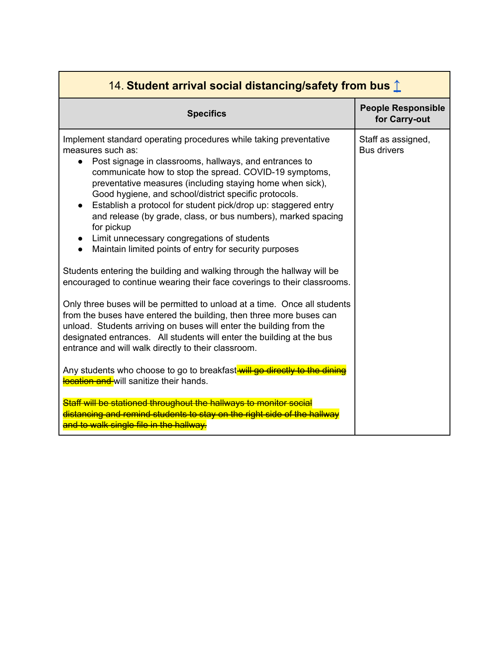<span id="page-13-0"></span>

| 14. Student arrival social distancing/safety from bus 1                                                                                                                                                                                                                                                                                                                                                                                                                                                                                                                                                 |                                            |  |
|---------------------------------------------------------------------------------------------------------------------------------------------------------------------------------------------------------------------------------------------------------------------------------------------------------------------------------------------------------------------------------------------------------------------------------------------------------------------------------------------------------------------------------------------------------------------------------------------------------|--------------------------------------------|--|
| <b>Specifics</b>                                                                                                                                                                                                                                                                                                                                                                                                                                                                                                                                                                                        | <b>People Responsible</b><br>for Carry-out |  |
| Implement standard operating procedures while taking preventative<br>measures such as:<br>Post signage in classrooms, hallways, and entrances to<br>$\bullet$<br>communicate how to stop the spread. COVID-19 symptoms,<br>preventative measures (including staying home when sick),<br>Good hygiene, and school/district specific protocols.<br>Establish a protocol for student pick/drop up: staggered entry<br>and release (by grade, class, or bus numbers), marked spacing<br>for pickup<br>Limit unnecessary congregations of students<br>Maintain limited points of entry for security purposes | Staff as assigned,<br><b>Bus drivers</b>   |  |
| Students entering the building and walking through the hallway will be<br>encouraged to continue wearing their face coverings to their classrooms.                                                                                                                                                                                                                                                                                                                                                                                                                                                      |                                            |  |
| Only three buses will be permitted to unload at a time. Once all students<br>from the buses have entered the building, then three more buses can<br>unload. Students arriving on buses will enter the building from the<br>designated entrances. All students will enter the building at the bus<br>entrance and will walk directly to their classroom.                                                                                                                                                                                                                                                 |                                            |  |
| Any students who choose to go to breakfastwill go directly to the dinin-<br>location and will sanitize their hands.                                                                                                                                                                                                                                                                                                                                                                                                                                                                                     |                                            |  |
| Staff will be stationed throughout the hallways to monitor social<br>distancing and remind students to stay on the right side of the hallway<br>and to walk single file in the hallway.                                                                                                                                                                                                                                                                                                                                                                                                                 |                                            |  |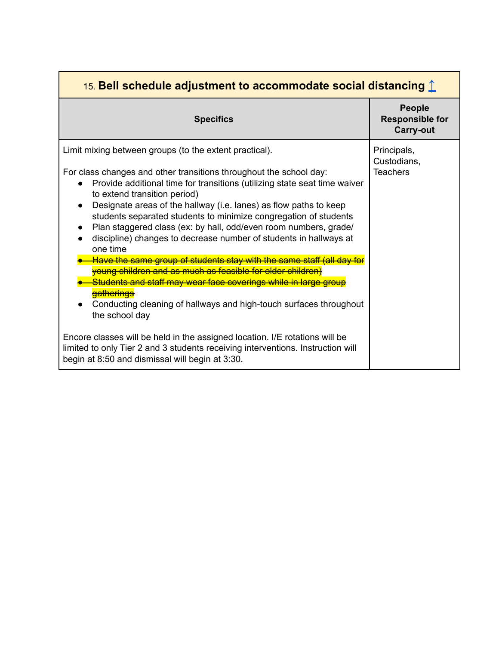<span id="page-14-0"></span>

| 15. Bell schedule adjustment to accommodate social distancing $\hat{\mathbb{L}}$                                                                                                                                                                                                                                                                                                                                                                                                                                                        |                                                             |
|-----------------------------------------------------------------------------------------------------------------------------------------------------------------------------------------------------------------------------------------------------------------------------------------------------------------------------------------------------------------------------------------------------------------------------------------------------------------------------------------------------------------------------------------|-------------------------------------------------------------|
| <b>Specifics</b>                                                                                                                                                                                                                                                                                                                                                                                                                                                                                                                        | <b>People</b><br><b>Responsible for</b><br><b>Carry-out</b> |
| Limit mixing between groups (to the extent practical).<br>For class changes and other transitions throughout the school day:<br>Provide additional time for transitions (utilizing state seat time waiver<br>to extend transition period)<br>Designate areas of the hallway (i.e. lanes) as flow paths to keep<br>students separated students to minimize congregation of students<br>Plan staggered class (ex: by hall, odd/even room numbers, grade/<br>discipline) changes to decrease number of students in hallways at<br>one time | Principals,<br>Custodians,<br><b>Teachers</b>               |
| Have the same group of students stay with the same staff (all day for<br>young children and as much as feasible for older children)<br>Students and staff may wear face coverings while in large group<br>gatherings<br>Conducting cleaning of hallways and high-touch surfaces throughout<br>the school day<br>Encore classes will be held in the assigned location. I/E rotations will be<br>limited to only Tier 2 and 3 students receiving interventions. Instruction will<br>begin at 8:50 and dismissal will begin at 3:30.       |                                                             |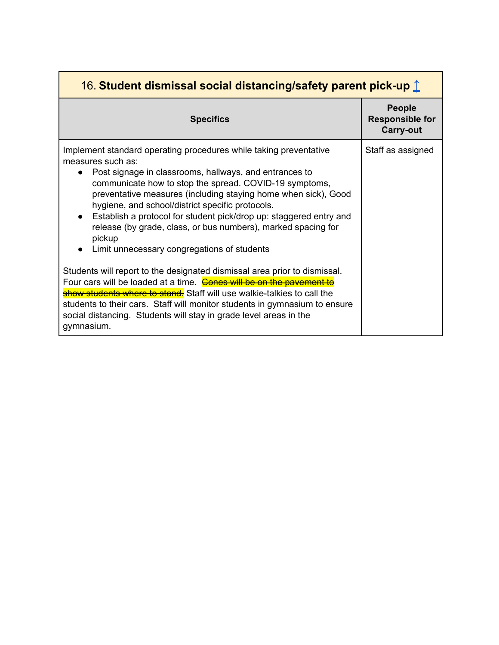<span id="page-15-0"></span>

| 16. Student dismissal social distancing/safety parent pick-up 1                                                                                                                                                                                                                                                                                                                                                                                                                                                                               |                                                      |
|-----------------------------------------------------------------------------------------------------------------------------------------------------------------------------------------------------------------------------------------------------------------------------------------------------------------------------------------------------------------------------------------------------------------------------------------------------------------------------------------------------------------------------------------------|------------------------------------------------------|
| <b>Specifics</b>                                                                                                                                                                                                                                                                                                                                                                                                                                                                                                                              | People<br><b>Responsible for</b><br><b>Carry-out</b> |
| Implement standard operating procedures while taking preventative<br>measures such as:<br>Post signage in classrooms, hallways, and entrances to<br>communicate how to stop the spread. COVID-19 symptoms,<br>preventative measures (including staying home when sick), Good<br>hygiene, and school/district specific protocols.<br>Establish a protocol for student pick/drop up: staggered entry and<br>$\bullet$<br>release (by grade, class, or bus numbers), marked spacing for<br>pickup<br>Limit unnecessary congregations of students | Staff as assigned                                    |
| Students will report to the designated dismissal area prior to dismissal.<br>Four cars will be loaded at a time. Cones will be on the pavement to<br>show students where to stand. Staff will use walkie-talkies to call the<br>students to their cars. Staff will monitor students in gymnasium to ensure<br>social distancing. Students will stay in grade level areas in the<br>gymnasium.                                                                                                                                                 |                                                      |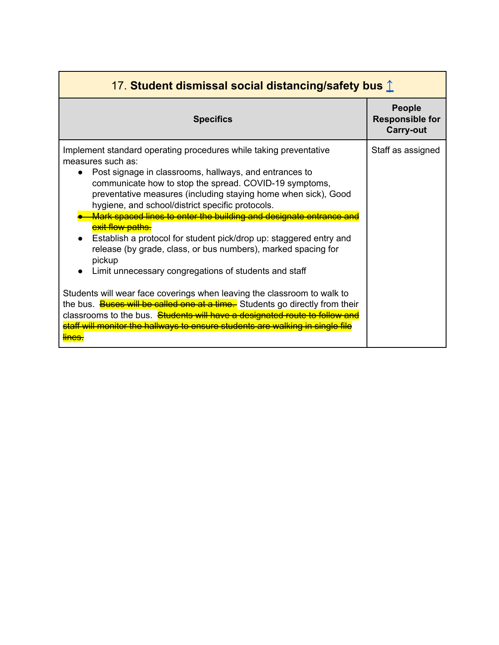<span id="page-16-0"></span>

| 17. Student dismissal social distancing/safety bus 1                                                                                                                                                                                                                                                                                                                                                                                                                                                                                                                                                                             |                                                             |
|----------------------------------------------------------------------------------------------------------------------------------------------------------------------------------------------------------------------------------------------------------------------------------------------------------------------------------------------------------------------------------------------------------------------------------------------------------------------------------------------------------------------------------------------------------------------------------------------------------------------------------|-------------------------------------------------------------|
| <b>Specifics</b>                                                                                                                                                                                                                                                                                                                                                                                                                                                                                                                                                                                                                 | <b>People</b><br><b>Responsible for</b><br><b>Carry-out</b> |
| Implement standard operating procedures while taking preventative<br>measures such as:<br>Post signage in classrooms, hallways, and entrances to<br>communicate how to stop the spread. COVID-19 symptoms,<br>preventative measures (including staying home when sick), Good<br>hygiene, and school/district specific protocols.<br>Mark spaced lines to enter the building and designate entrance<br>exit flow paths.<br>Establish a protocol for student pick/drop up: staggered entry and<br>release (by grade, class, or bus numbers), marked spacing for<br>pickup<br>Limit unnecessary congregations of students and staff | Staff as assigned                                           |
| Students will wear face coverings when leaving the classroom to walk to<br>the bus. <b>Buses will be called one at a time.</b> Students go directly from their<br>classrooms to the bus. Students will have a designated route to follow and<br>staff will monitor the hallways to ensure students are walking in single file                                                                                                                                                                                                                                                                                                    |                                                             |

п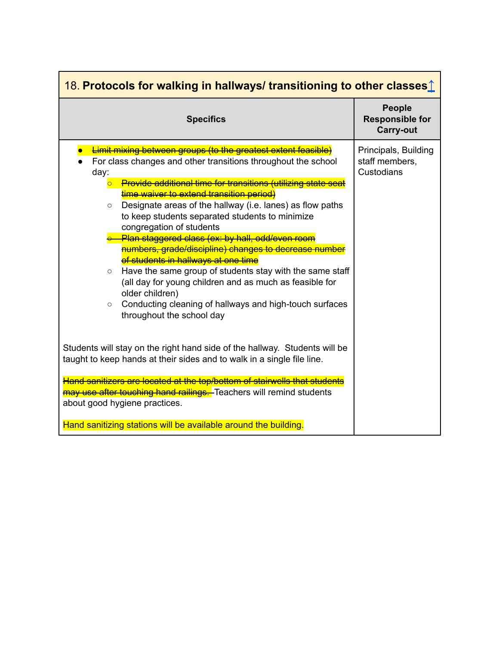<span id="page-17-0"></span>

| 18. Protocols for walking in hallways/ transitioning to other classes 1                                                                                                                                                                                                                                                                                                                                                                                                                                                                                                                                                                                                                                                                                                                                                                                                                                                                                                                      |                                                             |  |
|----------------------------------------------------------------------------------------------------------------------------------------------------------------------------------------------------------------------------------------------------------------------------------------------------------------------------------------------------------------------------------------------------------------------------------------------------------------------------------------------------------------------------------------------------------------------------------------------------------------------------------------------------------------------------------------------------------------------------------------------------------------------------------------------------------------------------------------------------------------------------------------------------------------------------------------------------------------------------------------------|-------------------------------------------------------------|--|
| <b>Specifics</b>                                                                                                                                                                                                                                                                                                                                                                                                                                                                                                                                                                                                                                                                                                                                                                                                                                                                                                                                                                             | <b>People</b><br><b>Responsible for</b><br><b>Carry-out</b> |  |
| <b>Limit mixing between groups (to the greatest extent feasible)</b><br>For class changes and other transitions throughout the school<br>day:<br><b>Provide additional time for transitions (utilizing state seat</b><br>time waiver to extend transition period)<br>Designate areas of the hallway (i.e. lanes) as flow paths<br>$\circ$<br>to keep students separated students to minimize<br>congregation of students<br>Plan staggered class (ex: by hall, odd/even room<br>numbers, grade/discipline) changes to decrease number<br>of students in hallways at one time<br>Have the same group of students stay with the same staff<br>$\circ$<br>(all day for young children and as much as feasible for<br>older children)<br>Conducting cleaning of hallways and high-touch surfaces<br>$\circ$<br>throughout the school day<br>Students will stay on the right hand side of the hallway. Students will be<br>taught to keep hands at their sides and to walk in a single file line. | Principals, Building<br>staff members,<br>Custodians        |  |
| Hand sanitizers are located at the top/bottom of stairwells that students<br>may use after touching hand railings. Teachers will remind students<br>about good hygiene practices.<br>Hand sanitizing stations will be available around the building.                                                                                                                                                                                                                                                                                                                                                                                                                                                                                                                                                                                                                                                                                                                                         |                                                             |  |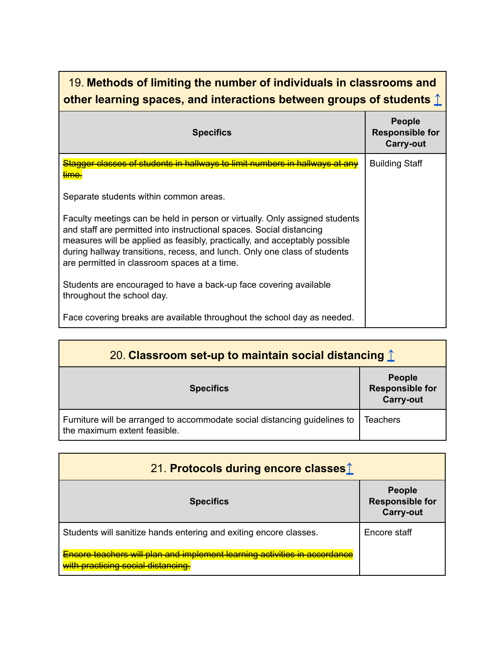# <span id="page-18-0"></span>19. **Methods of limiting the number of individuals in classrooms and other learning spaces, and interactions between groups of students [↑](#page-11-0)**

| <b>Specifics</b>                                                                                                                                                                                                                                                                                                                                               | <b>People</b><br><b>Responsible for</b><br><b>Carry-out</b> |
|----------------------------------------------------------------------------------------------------------------------------------------------------------------------------------------------------------------------------------------------------------------------------------------------------------------------------------------------------------------|-------------------------------------------------------------|
| <del>Stagger classes of students in hallways to limit numbers in hallways at any</del><br>$\mathsf{Im}\mathsf{c}$                                                                                                                                                                                                                                              | <b>Building Staff</b>                                       |
| Separate students within common areas.                                                                                                                                                                                                                                                                                                                         |                                                             |
| Faculty meetings can be held in person or virtually. Only assigned students<br>and staff are permitted into instructional spaces. Social distancing<br>measures will be applied as feasibly, practically, and acceptably possible<br>during hallway transitions, recess, and lunch. Only one class of students<br>are permitted in classroom spaces at a time. |                                                             |
| Students are encouraged to have a back-up face covering available<br>throughout the school day.                                                                                                                                                                                                                                                                |                                                             |
| Face covering breaks are available throughout the school day as needed.                                                                                                                                                                                                                                                                                        |                                                             |

<span id="page-18-1"></span>

| 20. Classroom set-up to maintain social distancing $\hat{\mathbb{I}}$                                     |                                                             |
|-----------------------------------------------------------------------------------------------------------|-------------------------------------------------------------|
| <b>Specifics</b>                                                                                          | <b>People</b><br><b>Responsible for</b><br><b>Carry-out</b> |
| Furniture will be arranged to accommodate social distancing guidelines to<br>the maximum extent feasible. | <b>Teachers</b>                                             |

<span id="page-18-2"></span>

| 21. Protocols during encore classes <sup>1</sup>                                                                       |                                                             |
|------------------------------------------------------------------------------------------------------------------------|-------------------------------------------------------------|
| <b>Specifics</b>                                                                                                       | <b>People</b><br><b>Responsible for</b><br><b>Carry-out</b> |
| Students will sanitize hands entering and exiting encore classes.                                                      | Encore staff                                                |
| <u>Encore teachers will plan and implement learning activities in accordance</u><br>with practicing social distancing. |                                                             |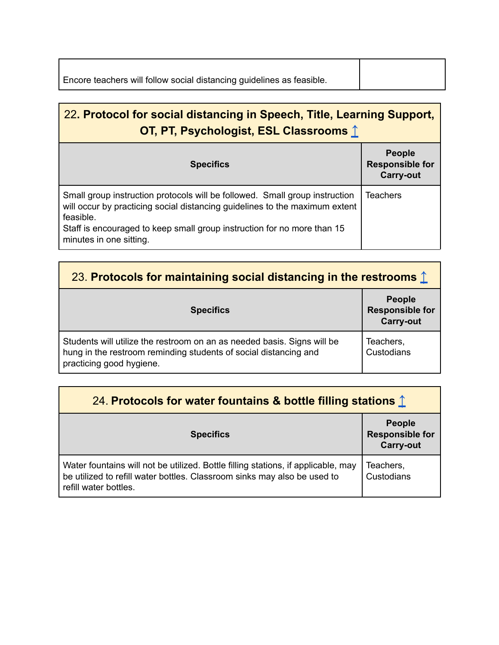| Encore teachers will follow social distancing guidelines as feasible. |  |
|-----------------------------------------------------------------------|--|
|                                                                       |  |

<span id="page-19-0"></span>

| 22. Protocol for social distancing in Speech, Title, Learning Support,<br>OT, PT, Psychologist, ESL Classrooms 1                                                                                                                                                              |                                                             |
|-------------------------------------------------------------------------------------------------------------------------------------------------------------------------------------------------------------------------------------------------------------------------------|-------------------------------------------------------------|
| <b>Specifics</b>                                                                                                                                                                                                                                                              | <b>People</b><br><b>Responsible for</b><br><b>Carry-out</b> |
| Small group instruction protocols will be followed. Small group instruction<br>will occur by practicing social distancing guidelines to the maximum extent<br>feasible.<br>Staff is encouraged to keep small group instruction for no more than 15<br>minutes in one sitting. | <b>Teachers</b>                                             |

<span id="page-19-1"></span>

| 23. Protocols for maintaining social distancing in the restrooms $\hat{\mathbb{L}}$                                                                                     |                                                             |
|-------------------------------------------------------------------------------------------------------------------------------------------------------------------------|-------------------------------------------------------------|
| <b>Specifics</b>                                                                                                                                                        | <b>People</b><br><b>Responsible for</b><br><b>Carry-out</b> |
| Students will utilize the restroom on an as needed basis. Signs will be<br>hung in the restroom reminding students of social distancing and<br>practicing good hygiene. | Teachers,<br>Custodians                                     |

<span id="page-19-2"></span>

| 24. Protocols for water fountains & bottle filling stations 1                                                                                                                          |                                                             |
|----------------------------------------------------------------------------------------------------------------------------------------------------------------------------------------|-------------------------------------------------------------|
| <b>Specifics</b>                                                                                                                                                                       | <b>People</b><br><b>Responsible for</b><br><b>Carry-out</b> |
| Water fountains will not be utilized. Bottle filling stations, if applicable, may<br>be utilized to refill water bottles. Classroom sinks may also be used to<br>refill water bottles. | Teachers,<br>Custodians                                     |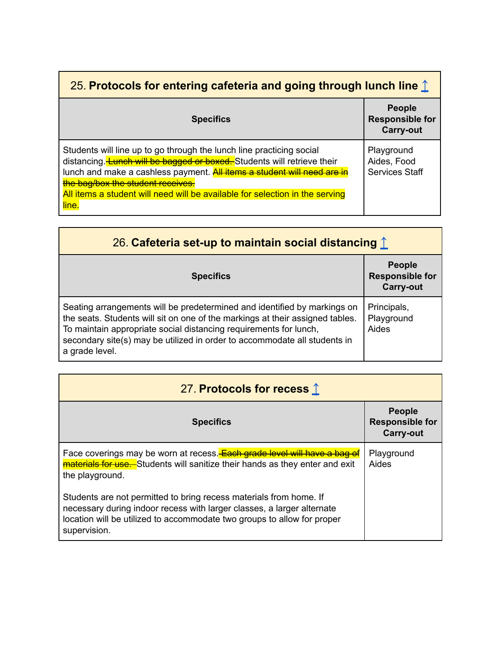<span id="page-20-0"></span>

| 25. Protocols for entering cafeteria and going through lunch line $\hat{\perp}$                                                                                                                                                                                                                                                                                        |                                                             |
|------------------------------------------------------------------------------------------------------------------------------------------------------------------------------------------------------------------------------------------------------------------------------------------------------------------------------------------------------------------------|-------------------------------------------------------------|
| <b>Specifics</b>                                                                                                                                                                                                                                                                                                                                                       | <b>People</b><br><b>Responsible for</b><br><b>Carry-out</b> |
| Students will line up to go through the lunch line practicing social<br>distancing. <b>Lunch will be bagged or boxed.</b> Students will retrieve their<br>lunch and make a cashless payment. <b>All items a student will need are in</b><br>the bag/box the student receives.<br>All items a student will need will be available for selection in the serving<br>line. | Playground<br>Aides, Food<br><b>Services Staff</b>          |

<span id="page-20-1"></span>

| 26. Cafeteria set-up to maintain social distancing $\uparrow$                                                                                                                                                                                                                                                                 |                                                             |
|-------------------------------------------------------------------------------------------------------------------------------------------------------------------------------------------------------------------------------------------------------------------------------------------------------------------------------|-------------------------------------------------------------|
| <b>Specifics</b>                                                                                                                                                                                                                                                                                                              | <b>People</b><br><b>Responsible for</b><br><b>Carry-out</b> |
| Seating arrangements will be predetermined and identified by markings on<br>the seats. Students will sit on one of the markings at their assigned tables.<br>To maintain appropriate social distancing requirements for lunch,<br>secondary site(s) may be utilized in order to accommodate all students in<br>a grade level. | Principals,<br>Playground<br>Aides                          |

<span id="page-20-2"></span>

| 27. Protocols for recess 1                                                                                                                                                                                                              |                                                      |
|-----------------------------------------------------------------------------------------------------------------------------------------------------------------------------------------------------------------------------------------|------------------------------------------------------|
| <b>Specifics</b>                                                                                                                                                                                                                        | People<br><b>Responsible for</b><br><b>Carry-out</b> |
| Face coverings may be worn at recess. Each grade level will have a bag of<br>materials for use. Students will sanitize their hands as they enter and exit<br>the playground.                                                            | Playground<br>Aides                                  |
| Students are not permitted to bring recess materials from home. If<br>necessary during indoor recess with larger classes, a larger alternate<br>location will be utilized to accommodate two groups to allow for proper<br>supervision. |                                                      |